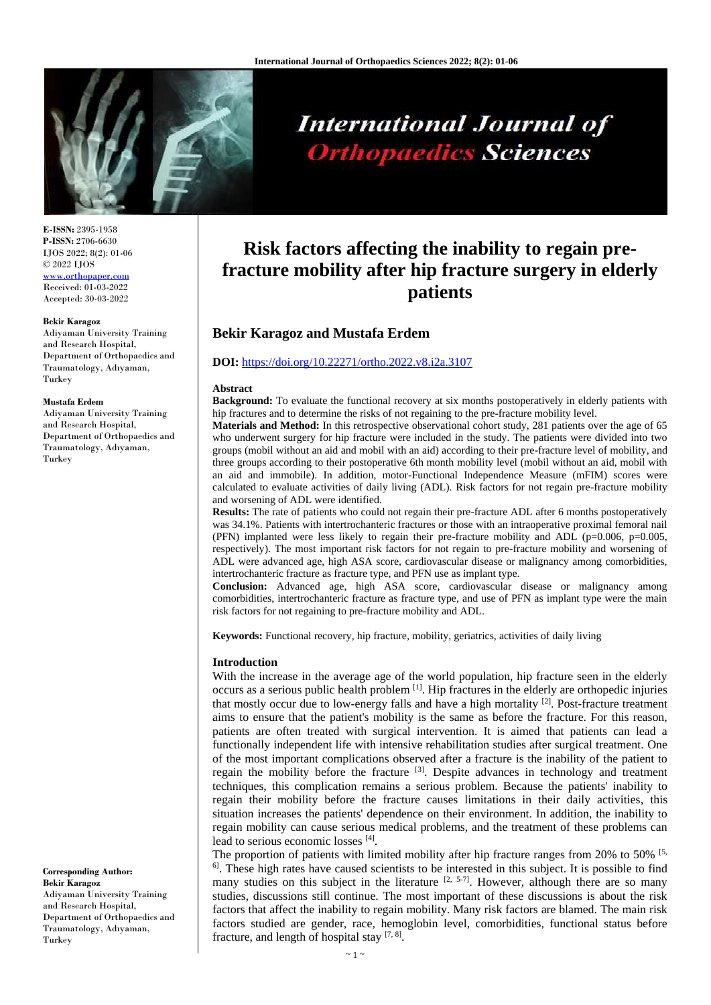

# **International Journal of Orthopaedics Sciences**

## **Risk factors affecting the inability to regain prefracture mobility after hip fracture surgery in elderly patients**

### **Bekir Karagoz and Mustafa Erdem**

#### **DOI:** <https://doi.org/10.22271/ortho.2022.v8.i2a.3107>

#### **Abstract**

**Background:** To evaluate the functional recovery at six months postoperatively in elderly patients with hip fractures and to determine the risks of not regaining to the pre-fracture mobility level.

**Materials and Method:** In this retrospective observational cohort study, 281 patients over the age of 65 who underwent surgery for hip fracture were included in the study. The patients were divided into two groups (mobil without an aid and mobil with an aid) according to their pre-fracture level of mobility, and three groups according to their postoperative 6th month mobility level (mobil without an aid, mobil with an aid and immobile). In addition, motor-Functional Independence Measure (mFIM) scores were calculated to evaluate activities of daily living (ADL). Risk factors for not regain pre-fracture mobility and worsening of ADL were identified.

**Results:** The rate of patients who could not regain their pre-fracture ADL after 6 months postoperatively was 34.1%. Patients with intertrochanteric fractures or those with an intraoperative proximal femoral nail (PFN) implanted were less likely to regain their pre-fracture mobility and ADL ( $p=0.006$ ,  $p=0.005$ , respectively). The most important risk factors for not regain to pre-fracture mobility and worsening of ADL were advanced age, high ASA score, cardiovascular disease or malignancy among comorbidities, intertrochanteric fracture as fracture type, and PFN use as implant type.

**Conclusion:** Advanced age, high ASA score, cardiovascular disease or malignancy among comorbidities, intertrochanteric fracture as fracture type, and use of PFN as implant type were the main risk factors for not regaining to pre-fracture mobility and ADL.

**Keywords:** Functional recovery, hip fracture, mobility, geriatrics, activities of daily living

#### **Introduction**

With the increase in the average age of the world population, hip fracture seen in the elderly occurs as a serious public health problem [1]. Hip fractures in the elderly are orthopedic injuries that mostly occur due to low-energy falls and have a high mortality  $[2]$ . Post-fracture treatment aims to ensure that the patient's mobility is the same as before the fracture. For this reason, patients are often treated with surgical intervention. It is aimed that patients can lead a functionally independent life with intensive rehabilitation studies after surgical treatment. One of the most important complications observed after a fracture is the inability of the patient to regain the mobility before the fracture [3]. Despite advances in technology and treatment techniques, this complication remains a serious problem. Because the patients' inability to regain their mobility before the fracture causes limitations in their daily activities, this situation increases the patients' dependence on their environment. In addition, the inability to regain mobility can cause serious medical problems, and the treatment of these problems can lead to serious economic losses [4].

The proportion of patients with limited mobility after hip fracture ranges from 20% to 50%  $\frac{5}{5}$ ,  $<sup>6</sup>$ . These high rates have caused scientists to be interested in this subject. It is possible to find</sup> many studies on this subject in the literature  $[2, 5-7]$ . However, although there are so many studies, discussions still continue. The most important of these discussions is about the risk factors that affect the inability to regain mobility. Many risk factors are blamed. The main risk factors studied are gender, race, hemoglobin level, comorbidities, functional status before fracture, and length of hospital stay  $[7, 8]$ .

**E-ISSN:** 2395-1958 **P-ISSN:** 2706-6630 IJOS 2022; 8(2): 01-06 © 2022 IJOS [www.orthopaper.com](http://www.orthopaper.com/) Received: 01-03-2022 Accepted: 30-03-2022

#### **Bekir Karagoz**

Adiyaman University Training and Research Hospital, Department of Orthopaedics and Traumatology, Adıyaman, Turkey

#### **Mustafa Erdem**

Adiyaman University Training and Research Hospital, Department of Orthopaedics and Traumatology, Adıyaman, Turkey

**Corresponding Author: Bekir Karagoz** Adiyaman University Training and Research Hospital, Department of Orthopaedics and Traumatology, Adıyaman, Turkey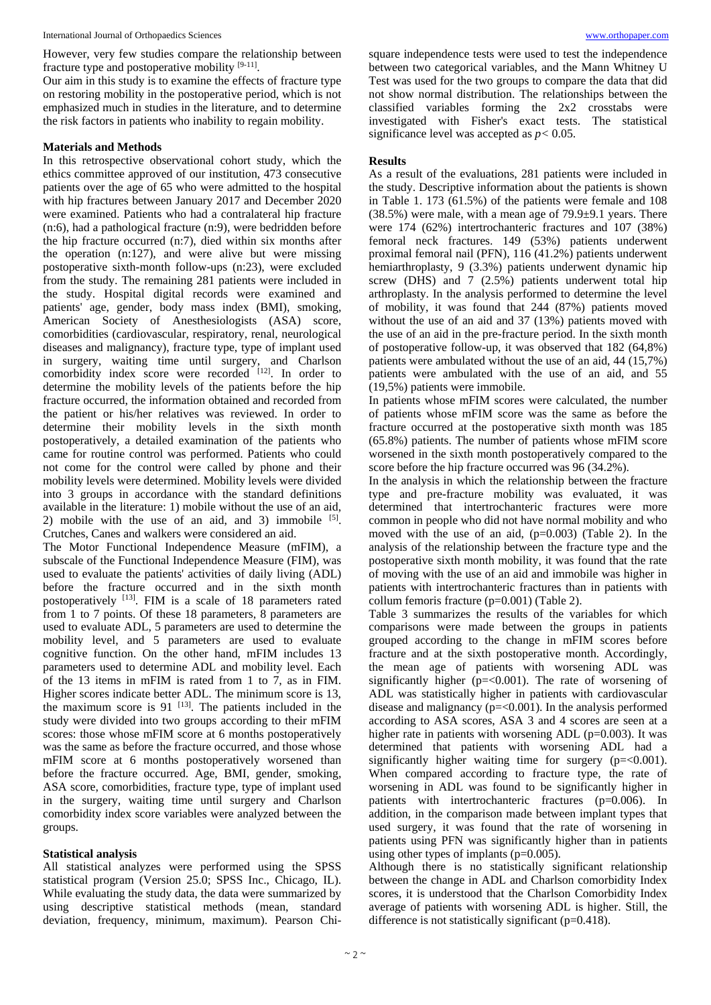However, very few studies compare the relationship between fracture type and postoperative mobility [9-11].

Our aim in this study is to examine the effects of fracture type on restoring mobility in the postoperative period, which is not emphasized much in studies in the literature, and to determine the risk factors in patients who inability to regain mobility.

#### **Materials and Methods**

In this retrospective observational cohort study, which the ethics committee approved of our institution, 473 consecutive patients over the age of 65 who were admitted to the hospital with hip fractures between January 2017 and December 2020 were examined. Patients who had a contralateral hip fracture (n:6), had a pathological fracture (n:9), were bedridden before the hip fracture occurred (n:7), died within six months after the operation (n:127), and were alive but were missing postoperative sixth-month follow-ups (n:23), were excluded from the study. The remaining 281 patients were included in the study. Hospital digital records were examined and patients' age, gender, body mass index (BMI), smoking, American Society of Anesthesiologists (ASA) score, comorbidities (cardiovascular, respiratory, renal, neurological diseases and malignancy), fracture type, type of implant used in surgery, waiting time until surgery, and Charlson comorbidity index score were recorded [12]. In order to determine the mobility levels of the patients before the hip fracture occurred, the information obtained and recorded from the patient or his/her relatives was reviewed. In order to determine their mobility levels in the sixth month postoperatively, a detailed examination of the patients who came for routine control was performed. Patients who could not come for the control were called by phone and their mobility levels were determined. Mobility levels were divided into 3 groups in accordance with the standard definitions available in the literature: 1) mobile without the use of an aid, 2) mobile with the use of an aid, and 3) immobile  $[5]$ . Crutches, Canes and walkers were considered an aid.

The Motor Functional Independence Measure (mFIM), a subscale of the Functional Independence Measure (FIM), was used to evaluate the patients' activities of daily living (ADL) before the fracture occurred and in the sixth month postoperatively [13]. FIM is a scale of 18 parameters rated from 1 to 7 points. Of these 18 parameters, 8 parameters are used to evaluate ADL, 5 parameters are used to determine the mobility level, and 5 parameters are used to evaluate cognitive function. On the other hand, mFIM includes 13 parameters used to determine ADL and mobility level. Each of the 13 items in mFIM is rated from 1 to 7, as in FIM. Higher scores indicate better ADL. The minimum score is 13, the maximum score is  $91$  <sup>[13]</sup>. The patients included in the study were divided into two groups according to their mFIM scores: those whose mFIM score at 6 months postoperatively was the same as before the fracture occurred, and those whose mFIM score at 6 months postoperatively worsened than before the fracture occurred. Age, BMI, gender, smoking, ASA score, comorbidities, fracture type, type of implant used in the surgery, waiting time until surgery and Charlson comorbidity index score variables were analyzed between the groups.

#### **Statistical analysis**

All statistical analyzes were performed using the SPSS statistical program (Version 25.0; SPSS Inc., Chicago, IL). While evaluating the study data, the data were summarized by using descriptive statistical methods (mean, standard deviation, frequency, minimum, maximum). Pearson Chisquare independence tests were used to test the independence between two categorical variables, and the Mann Whitney U Test was used for the two groups to compare the data that did not show normal distribution. The relationships between the classified variables forming the 2x2 crosstabs were investigated with Fisher's exact tests. The statistical significance level was accepted as *p<* 0.05.

#### **Results**

As a result of the evaluations, 281 patients were included in the study. Descriptive information about the patients is shown in Table 1. 173 (61.5%) of the patients were female and 108 (38.5%) were male, with a mean age of 79.9±9.1 years. There were 174 (62%) intertrochanteric fractures and 107 (38%) femoral neck fractures. 149 (53%) patients underwent proximal femoral nail (PFN), 116 (41.2%) patients underwent hemiarthroplasty, 9 (3.3%) patients underwent dynamic hip screw (DHS) and 7 (2.5%) patients underwent total hip arthroplasty. In the analysis performed to determine the level of mobility, it was found that 244 (87%) patients moved without the use of an aid and 37 (13%) patients moved with the use of an aid in the pre-fracture period. In the sixth month of postoperative follow-up, it was observed that 182 (64,8%) patients were ambulated without the use of an aid, 44 (15,7%) patients were ambulated with the use of an aid, and 55 (19,5%) patients were immobile.

In patients whose mFIM scores were calculated, the number of patients whose mFIM score was the same as before the fracture occurred at the postoperative sixth month was 185 (65.8%) patients. The number of patients whose mFIM score worsened in the sixth month postoperatively compared to the score before the hip fracture occurred was 96 (34.2%).

In the analysis in which the relationship between the fracture type and pre-fracture mobility was evaluated, it was determined that intertrochanteric fractures were more common in people who did not have normal mobility and who moved with the use of an aid, (p=0.003) (Table 2). In the analysis of the relationship between the fracture type and the postoperative sixth month mobility, it was found that the rate of moving with the use of an aid and immobile was higher in patients with intertrochanteric fractures than in patients with collum femoris fracture (p=0.001) (Table 2).

Table 3 summarizes the results of the variables for which comparisons were made between the groups in patients grouped according to the change in mFIM scores before fracture and at the sixth postoperative month. Accordingly, the mean age of patients with worsening ADL was significantly higher ( $p = < 0.001$ ). The rate of worsening of ADL was statistically higher in patients with cardiovascular disease and malignancy (p=<0.001). In the analysis performed according to ASA scores, ASA 3 and 4 scores are seen at a higher rate in patients with worsening ADL (p=0.003). It was determined that patients with worsening ADL had a significantly higher waiting time for surgery  $(p=<0.001)$ . When compared according to fracture type, the rate of worsening in ADL was found to be significantly higher in patients with intertrochanteric fractures (p=0.006). In addition, in the comparison made between implant types that used surgery, it was found that the rate of worsening in patients using PFN was significantly higher than in patients using other types of implants  $(p=0.005)$ .

Although there is no statistically significant relationship between the change in ADL and Charlson comorbidity Index scores, it is understood that the Charlson Comorbidity Index average of patients with worsening ADL is higher. Still, the difference is not statistically significant (p=0.418).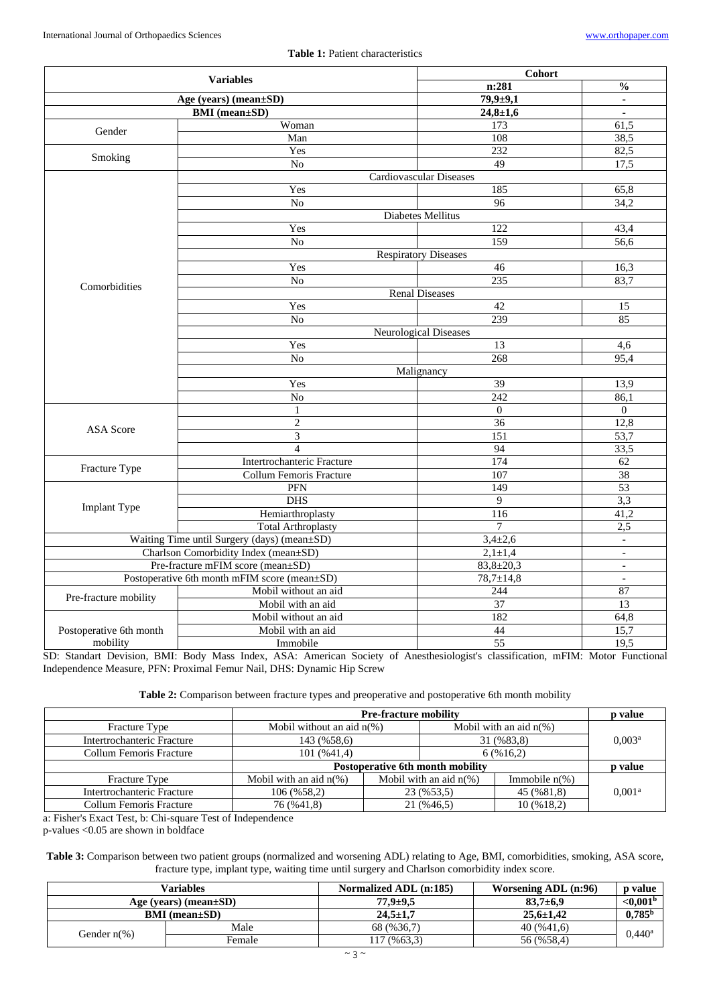#### **Table 1:** Patient characteristics

| <b>Variables</b><br>Age (years) (mean±SD)    |                                                                                                                                                                                                                                                                                                                                                                                                                                                                                                                         | Cohort                                                                                                                                                                                                                                                                                                                                   |                          |  |
|----------------------------------------------|-------------------------------------------------------------------------------------------------------------------------------------------------------------------------------------------------------------------------------------------------------------------------------------------------------------------------------------------------------------------------------------------------------------------------------------------------------------------------------------------------------------------------|------------------------------------------------------------------------------------------------------------------------------------------------------------------------------------------------------------------------------------------------------------------------------------------------------------------------------------------|--------------------------|--|
|                                              |                                                                                                                                                                                                                                                                                                                                                                                                                                                                                                                         | n:281                                                                                                                                                                                                                                                                                                                                    | $\frac{0}{0}$            |  |
|                                              |                                                                                                                                                                                                                                                                                                                                                                                                                                                                                                                         | $79,9+9,1$                                                                                                                                                                                                                                                                                                                               | $\blacksquare$           |  |
| <b>BMI</b> (mean±SD)                         |                                                                                                                                                                                                                                                                                                                                                                                                                                                                                                                         | $24,8 \pm 1,6$                                                                                                                                                                                                                                                                                                                           | $\overline{\phantom{a}}$ |  |
| Gender                                       | Woman                                                                                                                                                                                                                                                                                                                                                                                                                                                                                                                   | 173                                                                                                                                                                                                                                                                                                                                      | 61,5                     |  |
|                                              | Man                                                                                                                                                                                                                                                                                                                                                                                                                                                                                                                     | 108                                                                                                                                                                                                                                                                                                                                      | 38,5                     |  |
|                                              | Yes                                                                                                                                                                                                                                                                                                                                                                                                                                                                                                                     | 232                                                                                                                                                                                                                                                                                                                                      |                          |  |
| Smoking                                      | $\overline{No}$                                                                                                                                                                                                                                                                                                                                                                                                                                                                                                         | 49                                                                                                                                                                                                                                                                                                                                       |                          |  |
|                                              |                                                                                                                                                                                                                                                                                                                                                                                                                                                                                                                         |                                                                                                                                                                                                                                                                                                                                          |                          |  |
|                                              | Yes                                                                                                                                                                                                                                                                                                                                                                                                                                                                                                                     | 185                                                                                                                                                                                                                                                                                                                                      | 65,8                     |  |
|                                              | $\overline{No}$                                                                                                                                                                                                                                                                                                                                                                                                                                                                                                         |                                                                                                                                                                                                                                                                                                                                          |                          |  |
|                                              | <b>Diabetes Mellitus</b>                                                                                                                                                                                                                                                                                                                                                                                                                                                                                                |                                                                                                                                                                                                                                                                                                                                          |                          |  |
|                                              | Yes                                                                                                                                                                                                                                                                                                                                                                                                                                                                                                                     | 122                                                                                                                                                                                                                                                                                                                                      | 43,4                     |  |
|                                              | $\overline{No}$                                                                                                                                                                                                                                                                                                                                                                                                                                                                                                         |                                                                                                                                                                                                                                                                                                                                          | 56,6                     |  |
|                                              |                                                                                                                                                                                                                                                                                                                                                                                                                                                                                                                         |                                                                                                                                                                                                                                                                                                                                          |                          |  |
|                                              | Yes                                                                                                                                                                                                                                                                                                                                                                                                                                                                                                                     | 46                                                                                                                                                                                                                                                                                                                                       | 16,3                     |  |
| Comorbidities                                | N <sub>o</sub>                                                                                                                                                                                                                                                                                                                                                                                                                                                                                                          |                                                                                                                                                                                                                                                                                                                                          |                          |  |
|                                              | <b>Renal Diseases</b>                                                                                                                                                                                                                                                                                                                                                                                                                                                                                                   |                                                                                                                                                                                                                                                                                                                                          |                          |  |
|                                              |                                                                                                                                                                                                                                                                                                                                                                                                                                                                                                                         |                                                                                                                                                                                                                                                                                                                                          | 15                       |  |
|                                              | N <sub>o</sub>                                                                                                                                                                                                                                                                                                                                                                                                                                                                                                          |                                                                                                                                                                                                                                                                                                                                          |                          |  |
|                                              | Neurological Diseases                                                                                                                                                                                                                                                                                                                                                                                                                                                                                                   |                                                                                                                                                                                                                                                                                                                                          |                          |  |
|                                              | Yes                                                                                                                                                                                                                                                                                                                                                                                                                                                                                                                     | 13                                                                                                                                                                                                                                                                                                                                       | 4,6                      |  |
|                                              |                                                                                                                                                                                                                                                                                                                                                                                                                                                                                                                         |                                                                                                                                                                                                                                                                                                                                          |                          |  |
|                                              | Malignancy                                                                                                                                                                                                                                                                                                                                                                                                                                                                                                              |                                                                                                                                                                                                                                                                                                                                          |                          |  |
|                                              | Yes                                                                                                                                                                                                                                                                                                                                                                                                                                                                                                                     |                                                                                                                                                                                                                                                                                                                                          | 13,9                     |  |
|                                              | No                                                                                                                                                                                                                                                                                                                                                                                                                                                                                                                      | $\overline{242}$                                                                                                                                                                                                                                                                                                                         | 86,1                     |  |
|                                              | $\mathbf{1}$                                                                                                                                                                                                                                                                                                                                                                                                                                                                                                            | $\mathbf{0}$                                                                                                                                                                                                                                                                                                                             | $\theta$                 |  |
| <b>ASA</b> Score                             |                                                                                                                                                                                                                                                                                                                                                                                                                                                                                                                         |                                                                                                                                                                                                                                                                                                                                          |                          |  |
|                                              |                                                                                                                                                                                                                                                                                                                                                                                                                                                                                                                         |                                                                                                                                                                                                                                                                                                                                          |                          |  |
|                                              | <b>Respiratory Diseases</b><br>235<br>Yes<br>$\overline{42}$<br>239<br>$\overline{No}$<br>268<br>$\overline{39}$<br>$\overline{2}$<br>36<br>$\overline{3}$<br>151<br>$\overline{4}$<br>94<br>174<br>Intertrochanteric Fracture<br>107<br><b>Collum Femoris Fracture</b><br>149<br>PFN<br><b>DHS</b><br>$\overline{9}$<br>Hemiarthroplasty<br>116<br>$\overline{7}$<br><b>Total Arthroplasty</b><br>$3,4\pm 2,6$<br>Waiting Time until Surgery (days) (mean±SD)<br>$2,1 \pm 1,4$<br>Charlson Comorbidity Index (mean±SD) |                                                                                                                                                                                                                                                                                                                                          |                          |  |
|                                              | 53,7<br>33,5<br>62<br>38                                                                                                                                                                                                                                                                                                                                                                                                                                                                                                |                                                                                                                                                                                                                                                                                                                                          |                          |  |
| Fracture Type                                |                                                                                                                                                                                                                                                                                                                                                                                                                                                                                                                         | 82,5<br>17,5<br><b>Cardiovascular Diseases</b><br>96<br>34,2<br>159<br>83,7<br>85<br>95,4<br>12,8<br>53<br>3,3<br>41,2<br>2,5<br>$\overline{a}$<br>$\frac{1}{2}$<br>$83,8 \pm 20,3$<br>$\blacksquare$<br>$78,7 \pm 14,8$<br>$\overline{a}$<br>244<br>87<br>$\overline{13}$<br>37<br>182<br>64,8<br>$\overline{15,7}$<br>44<br>55<br>19,5 |                          |  |
| <b>Implant Type</b>                          |                                                                                                                                                                                                                                                                                                                                                                                                                                                                                                                         |                                                                                                                                                                                                                                                                                                                                          |                          |  |
|                                              |                                                                                                                                                                                                                                                                                                                                                                                                                                                                                                                         |                                                                                                                                                                                                                                                                                                                                          |                          |  |
|                                              |                                                                                                                                                                                                                                                                                                                                                                                                                                                                                                                         |                                                                                                                                                                                                                                                                                                                                          |                          |  |
|                                              |                                                                                                                                                                                                                                                                                                                                                                                                                                                                                                                         |                                                                                                                                                                                                                                                                                                                                          |                          |  |
|                                              |                                                                                                                                                                                                                                                                                                                                                                                                                                                                                                                         |                                                                                                                                                                                                                                                                                                                                          |                          |  |
|                                              |                                                                                                                                                                                                                                                                                                                                                                                                                                                                                                                         |                                                                                                                                                                                                                                                                                                                                          |                          |  |
| Pre-fracture mFIM score (mean±SD)            |                                                                                                                                                                                                                                                                                                                                                                                                                                                                                                                         |                                                                                                                                                                                                                                                                                                                                          |                          |  |
| Postoperative 6th month mFIM score (mean±SD) |                                                                                                                                                                                                                                                                                                                                                                                                                                                                                                                         |                                                                                                                                                                                                                                                                                                                                          |                          |  |
| Pre-fracture mobility                        | Mobil without an aid                                                                                                                                                                                                                                                                                                                                                                                                                                                                                                    |                                                                                                                                                                                                                                                                                                                                          |                          |  |
|                                              | Mobil with an aid                                                                                                                                                                                                                                                                                                                                                                                                                                                                                                       |                                                                                                                                                                                                                                                                                                                                          |                          |  |
|                                              | Mobil without an aid                                                                                                                                                                                                                                                                                                                                                                                                                                                                                                    |                                                                                                                                                                                                                                                                                                                                          |                          |  |
| Postoperative 6th month                      | Mobil with an aid                                                                                                                                                                                                                                                                                                                                                                                                                                                                                                       |                                                                                                                                                                                                                                                                                                                                          |                          |  |
| mobility                                     | Immobile                                                                                                                                                                                                                                                                                                                                                                                                                                                                                                                |                                                                                                                                                                                                                                                                                                                                          |                          |  |

SD: Standart Devision, BMI: Body Mass Index, ASA: American Society of Anesthesiologist's classification, mFIM: Motor Functional Independence Measure, PFN: Proximal Femur Nail, DHS: Dynamic Hip Screw

|  | Table 2: Comparison between fracture types and preoperative and postoperative 6th month mobility |  |  |  |  |
|--|--------------------------------------------------------------------------------------------------|--|--|--|--|
|--|--------------------------------------------------------------------------------------------------|--|--|--|--|

|                            | <b>Pre-fracture mobility</b>     |            |                           |                  |         | <b>p</b> value     |
|----------------------------|----------------------------------|------------|---------------------------|------------------|---------|--------------------|
| Fracture Type              | Mobil without an aid $n(\%)$     |            | Mobil with an aid $n(\%)$ |                  |         |                    |
| Intertrochanteric Fracture | 143 (%58,6)                      |            | 31 (%83,8)                |                  |         | 0.003 <sup>a</sup> |
| Collum Femoris Fracture    | 101 (%41,4)                      |            | 6(%16,2)                  |                  |         |                    |
|                            | Postoperative 6th month mobility |            |                           |                  | p value |                    |
| Fracture Type              | Mobil with an aid $n(\%)$        |            | Mobil with an aid $n(\%)$ | Immobile $n\%$ ) |         |                    |
| Intertrochanteric Fracture | 106 (%58,2)                      |            | 23 (%53.5)                | 45 (%81,8)       |         | 0.001 <sup>a</sup> |
| Collum Femoris Fracture    | 76 (%41,8)                       | 21 (%46.5) |                           | 10(%18,2)        |         |                    |

a: Fisher's Exact Test, b: Chi-square Test of Independence

p-values <0.05 are shown in boldface

**Table 3:** Comparison between two patient groups (normalized and worsening ADL) relating to Age, BMI, comorbidities, smoking, ASA score, fracture type, implant type, waiting time until surgery and Charlson comorbidity index score.

| Variables                    |        | Normalized ADL (n:185) | Worsening ADL (n:96) | <b>p</b> value       |
|------------------------------|--------|------------------------|----------------------|----------------------|
| Age (years) (mean $\pm SD$ ) |        | $77.9 + 9.5$           | $83.7 \pm 6.9$       | ${<}0.001b$          |
| $BMI (mean \pm SD)$          |        | $24.5 \pm 1.7$         | $25.6 \pm 1.42$      | $0,785^{\rm b}$      |
| Gender $n\%$ )               | Male   | 68 (%36.7)             | 40(%41.6)            | $0.440$ <sup>a</sup> |
|                              | Female | $17($ %63,3)           | 56 (%58,4)           |                      |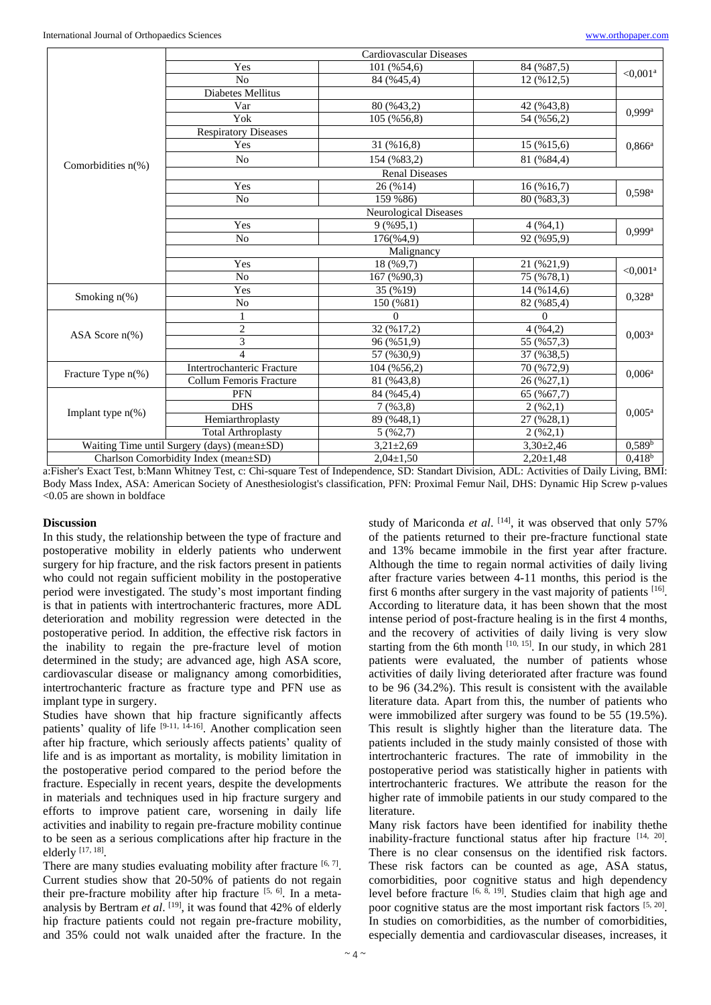|                                      |                                             | Cardiovascular Diseases      |                 |                        |  |
|--------------------------------------|---------------------------------------------|------------------------------|-----------------|------------------------|--|
|                                      | Yes                                         | 101 (%54,6)                  | 84 (%87,5)      | $< 0.001^a$            |  |
|                                      | No                                          | 84 (%45,4)                   | 12 (%12,5)      |                        |  |
|                                      | Diabetes Mellitus                           |                              |                 |                        |  |
|                                      | Var                                         | 80 (%43,2)                   | 42 (%43,8)      | $0.999$ <sup>a</sup>   |  |
|                                      | Yok                                         | 105 (%56,8)                  | 54 (%56,2)      |                        |  |
|                                      | <b>Respiratory Diseases</b>                 |                              |                 |                        |  |
|                                      | Yes                                         | 31 (%16,8)                   | 15 (%15,6)      | $0,866^a$              |  |
|                                      | N <sub>o</sub>                              | 154 (%83,2)                  | 81 (%84,4)      |                        |  |
| Comorbidities $n(\%)$                |                                             | <b>Renal Diseases</b>        |                 |                        |  |
|                                      | Yes                                         | 26 (%14)                     | 16(%16,7)       |                        |  |
|                                      | N <sub>o</sub>                              | 159 % 86)                    | 80 (%83,3)      | $0,598^{\rm a}$        |  |
|                                      |                                             | <b>Neurological Diseases</b> |                 |                        |  |
|                                      | Yes                                         | $9($ %95,1)                  | 4(%4,1)         | 0.999a                 |  |
|                                      | N <sub>o</sub>                              | 176(%4,9)                    | 92 (%95,9)      |                        |  |
|                                      | Malignancy                                  |                              |                 |                        |  |
|                                      | Yes                                         | 18 (%9,7)                    | 21 (%21,9)      | $< 0.001$ <sup>a</sup> |  |
|                                      | N <sub>o</sub>                              | 167 (%90,3)                  | 75 (%78,1)      |                        |  |
| Smoking $n$ <sup>(%)</sup>           | Yes                                         | 35 (%19)                     | 14(%14,6)       | $0,328^{\rm a}$        |  |
|                                      | N <sub>o</sub>                              | 150 (%81)                    | 82 (%85,4)      |                        |  |
|                                      |                                             | $\Omega$                     | $\Omega$        | 0.003 <sup>a</sup>     |  |
| ASA Score $n\%$ )                    | $\overline{c}$                              | 32 (%17,2)                   | 4(%4,2)         |                        |  |
|                                      | $\overline{3}$                              | 96 (%51,9)                   | 55 (%57,3)      |                        |  |
|                                      | $\Delta$                                    | 57 (%30,9)                   | 37 (%38,5)      |                        |  |
| Fracture Type $n$ <sup>(%)</sup>     | Intertrochanteric Fracture                  | 104 (%56,2)                  | 70 (%72,9)      | 0.006 <sup>a</sup>     |  |
|                                      | Collum Femoris Fracture                     | 81 (%43,8)                   | 26 (%27,1)      |                        |  |
| Implant type $n$ <sup>(%)</sup>      | <b>PFN</b>                                  | 84 (%45,4)                   | 65 (%67,7)      |                        |  |
|                                      | <b>DHS</b>                                  | $7($ %3,8)                   | 2(962,1)        | $0.005^{\rm a}$        |  |
|                                      | Hemiarthroplasty                            | 89 (%48,1)                   | 27 (%28,1)      |                        |  |
|                                      | <b>Total Arthroplasty</b>                   | 5(962,7)                     | 2(962,1)        |                        |  |
|                                      | Waiting Time until Surgery (days) (mean±SD) | $3,21\pm2,69$                | $3,30\pm2,46$   | 0.589 <sup>b</sup>     |  |
| Charlson Comorbidity Index (mean±SD) |                                             | $2,04 \pm 1,50$              | $2,20 \pm 1,48$ | 0,418 <sup>b</sup>     |  |

a:Fisher's Exact Test, b:Mann Whitney Test, c: Chi-square Test of Independence, SD: Standart Division, ADL: Activities of Daily Living, BMI: Body Mass Index, ASA: American Society of Anesthesiologist's classification, PFN: Proximal Femur Nail, DHS: Dynamic Hip Screw p-values <0.05 are shown in boldface

#### **Discussion**

In this study, the relationship between the type of fracture and postoperative mobility in elderly patients who underwent surgery for hip fracture, and the risk factors present in patients who could not regain sufficient mobility in the postoperative period were investigated. The study's most important finding is that in patients with intertrochanteric fractures, more ADL deterioration and mobility regression were detected in the postoperative period. In addition, the effective risk factors in the inability to regain the pre-fracture level of motion determined in the study; are advanced age, high ASA score, cardiovascular disease or malignancy among comorbidities, intertrochanteric fracture as fracture type and PFN use as implant type in surgery.

Studies have shown that hip fracture significantly affects patients' quality of life <sup>[9-11, 14-16]</sup>. Another complication seen after hip fracture, which seriously affects patients' quality of life and is as important as mortality, is mobility limitation in the postoperative period compared to the period before the fracture. Especially in recent years, despite the developments in materials and techniques used in hip fracture surgery and efforts to improve patient care, worsening in daily life activities and inability to regain pre-fracture mobility continue to be seen as a serious complications after hip fracture in the elderly [17, 18].

There are many studies evaluating mobility after fracture  $[6, 7]$ . Current studies show that 20-50% of patients do not regain their pre-fracture mobility after hip fracture  $[5, 6]$ . In a metaanalysis by Bertram *et al*. [19], it was found that 42% of elderly hip fracture patients could not regain pre-fracture mobility, and 35% could not walk unaided after the fracture. In the

study of Mariconda et al. <sup>[14]</sup>, it was observed that only 57% of the patients returned to their pre-fracture functional state and 13% became immobile in the first year after fracture. Although the time to regain normal activities of daily living after fracture varies between 4-11 months, this period is the first 6 months after surgery in the vast majority of patients <sup>[16]</sup>. According to literature data, it has been shown that the most intense period of post-fracture healing is in the first 4 months, and the recovery of activities of daily living is very slow starting from the 6th month  $[10, 15]$ . In our study, in which 281 patients were evaluated, the number of patients whose activities of daily living deteriorated after fracture was found to be 96 (34.2%). This result is consistent with the available literature data. Apart from this, the number of patients who were immobilized after surgery was found to be 55 (19.5%). This result is slightly higher than the literature data. The patients included in the study mainly consisted of those with intertrochanteric fractures. The rate of immobility in the postoperative period was statistically higher in patients with intertrochanteric fractures. We attribute the reason for the higher rate of immobile patients in our study compared to the literature.

Many risk factors have been identified for inability thethe inability-fracture functional status after hip fracture [14, 20]. There is no clear consensus on the identified risk factors. These risk factors can be counted as age, ASA status, comorbidities, poor cognitive status and high dependency level before fracture [6, 8, 19]. Studies claim that high age and poor cognitive status are the most important risk factors [5, 20]. In studies on comorbidities, as the number of comorbidities, especially dementia and cardiovascular diseases, increases, it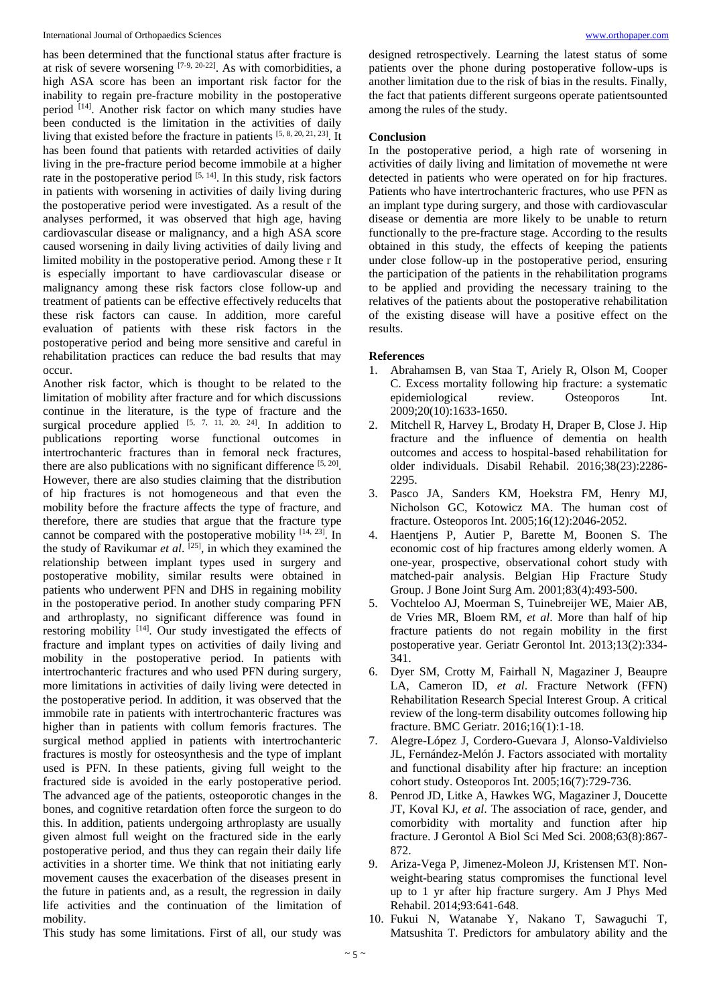has been determined that the functional status after fracture is at risk of severe worsening [7-9, 20-22]. As with comorbidities, a high ASA score has been an important risk factor for the inability to regain pre-fracture mobility in the postoperative period [14]. Another risk factor on which many studies have been conducted is the limitation in the activities of daily living that existed before the fracture in patients [5, 8, 20, 21, 23]. It has been found that patients with retarded activities of daily living in the pre-fracture period become immobile at a higher rate in the postoperative period  $[5, 14]$ . In this study, risk factors in patients with worsening in activities of daily living during the postoperative period were investigated. As a result of the analyses performed, it was observed that high age, having cardiovascular disease or malignancy, and a high ASA score caused worsening in daily living activities of daily living and limited mobility in the postoperative period. Among these r It is especially important to have cardiovascular disease or malignancy among these risk factors close follow-up and treatment of patients can be effective effectively reducelts that these risk factors can cause. In addition, more careful evaluation of patients with these risk factors in the postoperative period and being more sensitive and careful in rehabilitation practices can reduce the bad results that may occur.

Another risk factor, which is thought to be related to the limitation of mobility after fracture and for which discussions continue in the literature, is the type of fracture and the surgical procedure applied  $[5, 7, 11, 20, 24]$ . In addition to publications reporting worse functional outcomes in intertrochanteric fractures than in femoral neck fractures, there are also publications with no significant difference  $[5, 20]$ . However, there are also studies claiming that the distribution of hip fractures is not homogeneous and that even the mobility before the fracture affects the type of fracture, and therefore, there are studies that argue that the fracture type cannot be compared with the postoperative mobility [14, 23]. In the study of Ravikumar *et al*. [25] , in which they examined the relationship between implant types used in surgery and postoperative mobility, similar results were obtained in patients who underwent PFN and DHS in regaining mobility in the postoperative period. In another study comparing PFN and arthroplasty, no significant difference was found in restoring mobility <sup>[14]</sup>. Our study investigated the effects of fracture and implant types on activities of daily living and mobility in the postoperative period. In patients with intertrochanteric fractures and who used PFN during surgery, more limitations in activities of daily living were detected in the postoperative period. In addition, it was observed that the immobile rate in patients with intertrochanteric fractures was higher than in patients with collum femoris fractures. The surgical method applied in patients with intertrochanteric fractures is mostly for osteosynthesis and the type of implant used is PFN. In these patients, giving full weight to the fractured side is avoided in the early postoperative period. The advanced age of the patients, osteoporotic changes in the bones, and cognitive retardation often force the surgeon to do this. In addition, patients undergoing arthroplasty are usually given almost full weight on the fractured side in the early postoperative period, and thus they can regain their daily life activities in a shorter time. We think that not initiating early movement causes the exacerbation of the diseases present in the future in patients and, as a result, the regression in daily life activities and the continuation of the limitation of mobility.

designed retrospectively. Learning the latest status of some patients over the phone during postoperative follow-ups is another limitation due to the risk of bias in the results. Finally, the fact that patients different surgeons operate patientsounted among the rules of the study.

#### **Conclusion**

In the postoperative period, a high rate of worsening in activities of daily living and limitation of movemethe nt were detected in patients who were operated on for hip fractures. Patients who have intertrochanteric fractures, who use PFN as an implant type during surgery, and those with cardiovascular disease or dementia are more likely to be unable to return functionally to the pre-fracture stage. According to the results obtained in this study, the effects of keeping the patients under close follow-up in the postoperative period, ensuring the participation of the patients in the rehabilitation programs to be applied and providing the necessary training to the relatives of the patients about the postoperative rehabilitation of the existing disease will have a positive effect on the results.

#### **References**

- 1. Abrahamsen B, van Staa T, Ariely R, Olson M, Cooper C. Excess mortality following hip fracture: a systematic epidemiological review. Osteoporos Int. 2009;20(10):1633-1650.
- 2. Mitchell R, Harvey L, Brodaty H, Draper B, Close J. Hip fracture and the influence of dementia on health outcomes and access to hospital-based rehabilitation for older individuals. Disabil Rehabil. 2016;38(23):2286- 2295.
- 3. Pasco JA, Sanders KM, Hoekstra FM, Henry MJ, Nicholson GC, Kotowicz MA. The human cost of fracture. Osteoporos Int. 2005;16(12):2046-2052.
- 4. Haentjens P, Autier P, Barette M, Boonen S. The economic cost of hip fractures among elderly women. A one-year, prospective, observational cohort study with matched-pair analysis. Belgian Hip Fracture Study Group. J Bone Joint Surg Am. 2001;83(4):493-500.
- 5. Vochteloo AJ, Moerman S, Tuinebreijer WE, Maier AB, de Vries MR, Bloem RM, *et al*. More than half of hip fracture patients do not regain mobility in the first postoperative year. Geriatr Gerontol Int. 2013;13(2):334- 341.
- 6. Dyer SM, Crotty M, Fairhall N, Magaziner J, Beaupre LA, Cameron ID, *et al*. Fracture Network (FFN) Rehabilitation Research Special Interest Group. A critical review of the long-term disability outcomes following hip fracture. BMC Geriatr. 2016;16(1):1-18.
- 7. Alegre-López J, Cordero-Guevara J, Alonso-Valdivielso JL, Fernández-Melón J. Factors associated with mortality and functional disability after hip fracture: an inception cohort study. Osteoporos Int. 2005;16(7):729-736.
- 8. Penrod JD, Litke A, Hawkes WG, Magaziner J, Doucette JT, Koval KJ, *et al*. The association of race, gender, and comorbidity with mortality and function after hip fracture. J Gerontol A Biol Sci Med Sci. 2008;63(8):867- 872.
- 9. Ariza-Vega P, Jimenez-Moleon JJ, Kristensen MT. Nonweight-bearing status compromises the functional level up to 1 yr after hip fracture surgery. Am J Phys Med Rehabil. 2014;93:641-648.
- 10. Fukui N, Watanabe Y, Nakano T, Sawaguchi T, Matsushita T. Predictors for ambulatory ability and the